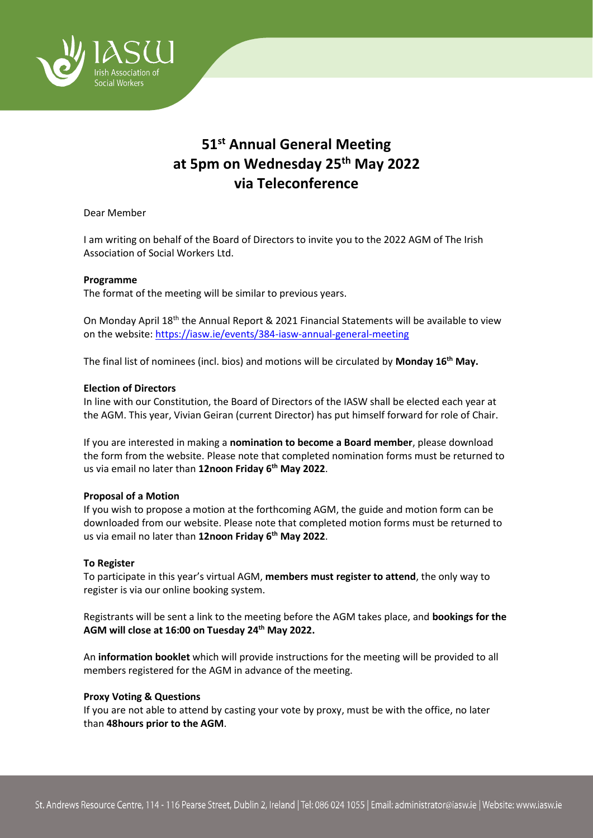

# **51st Annual General Meeting at 5pm on Wednesday 25th May 2022 via Teleconference**

Dear Member

I am writing on behalf of the Board of Directors to invite you to the 2022 AGM of The Irish Association of Social Workers Ltd.

## **Programme**

The format of the meeting will be similar to previous years.

On Monday April 18th the Annual Report & 2021 Financial Statements will be available to view on the website:<https://iasw.ie/events/384-iasw-annual-general-meeting>

The final list of nominees (incl. bios) and motions will be circulated by **Monday 16 th May.** 

### **Election of Directors**

In line with our Constitution, the Board of Directors of the IASW shall be elected each year at the AGM. This year, Vivian Geiran (current Director) has put himself forward for role of Chair.

If you are interested in making a **nomination to become a Board member**, please download the form from the website. Please note that completed nomination forms must be returned to us via email no later than **12noon Friday 6th May 2022**.

### **Proposal of a Motion**

If you wish to propose a motion at the forthcoming AGM, the guide and motion form can be downloaded from our website. Please note that completed motion forms must be returned to us via email no later than **12noon Friday 6th May 2022**.

### **To Register**

To participate in this year's virtual AGM, **members must register to attend**, the only way to register is via our online booking system.

Registrants will be sent a link to the meeting before the AGM takes place, and **bookings for the AGM will close at 16:00 on Tuesday 24 th May 2022.** 

An **information booklet** which will provide instructions for the meeting will be provided to all members registered for the AGM in advance of the meeting.

### **Proxy Voting & Questions**

If you are not able to attend by casting your vote by proxy, must be with the office, no later than **48hours prior to the AGM**.